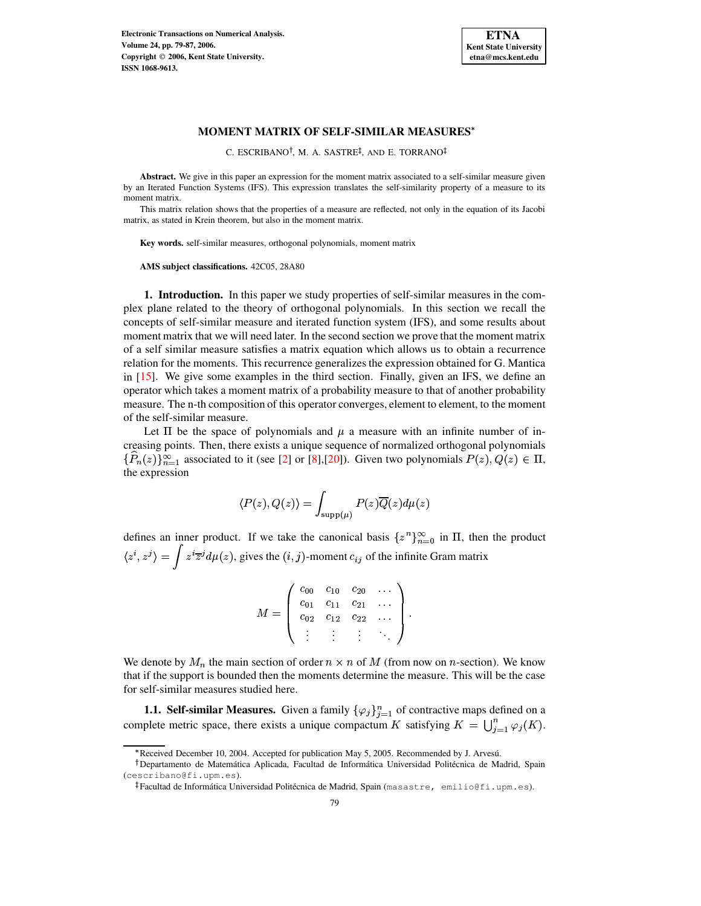

C. ESCRIBANO<sup>†</sup>, M. A. SASTRE<sup>‡</sup>, AND E. TORRANO

**Abstract.** We give in this paper an expression for the moment matrix associated to a self-similar measure given by an Iterated Function Systems (IFS). This expression translates the self-similarity property of a measure to its moment matrix.

This matrix relation shows that the properties of a measure are reflected, not only in the equation of its Jacobi matrix, as stated in Krein theorem, but also in the moment matrix.

**Key words.** self-similar measures, orthogonal polynomials, moment matrix

**AMS subject classifications.** 42C05, 28A80

**1. Introduction.** In this paper we study properties of self-similar measures in the complex plane related to the theory of orthogonal polynomials. In this section we recall the concepts of self-similar measure and iterated function system (IFS), and some results about moment matrix that we will need later. In the second section we prove that the moment matrix of a self similar measure satisfies a matrix equation which allows us to obtain a recurrence relation for the moments. This recurrence generalizes the expression obtained for G. Mantica in [\[15\]](#page-8-0). We give some examples in the third section. Finally, given an IFS, we define an operator which takes a moment matrix of a probability measure to that of another probability measure. The n-th composition of this operator converges, element to element, to the moment of the self-similar measure.

Let  $\Pi$  be the space of polynomials and  $\mu$  a measure with an infinite number of increasing points. Then, there exists a unique sequence of normalized orthogonal polynomials  $\{P_n(z)\}_{n=1}^{\infty}$  associated to it (see [\[2\]](#page-7-0) or [\[8\]](#page-7-1),[\[20\]](#page-8-1)). Given two polynomials  $P(z), Q(z) \in \Pi$ , the expression

$$
\langle P(z),Q(z)\rangle=\int_{\mathrm{supp}(\mu)}P(z)\overline{Q}(z)d\mu(z)
$$

defines an inner product. If we take the canonical basis  $\{z^n\}_{n=0}^{\infty}$  in  $\Pi$ , then the product  $\langle z^i, z^j \rangle = \int z^i \overline{z}^j d\mu(z)$ , gives the  $(i, j)$ -moment  $c_{ij}$  of the infinite Gram matrix

|  | $\begin{array}{cccc} c_{00} & c_{10} & c_{20} & \ldots \ c_{01} & c_{11} & c_{21} & \ldots \ c_{02} & c_{12} & c_{22} & \ldots \end{array}$ |  |  |
|--|---------------------------------------------------------------------------------------------------------------------------------------------|--|--|
|  |                                                                                                                                             |  |  |
|  |                                                                                                                                             |  |  |

We denote by  $M_n$  the main section of order  $n \times n$  of M (from now on *n*-section). We know that if the support is bounded then the moments determine the measure. This will be the case for self-similar measures studied here.

**1.1. Self-similar Measures.** Given a family  $\{\varphi_j\}_{j=1}^n$  of contractive maps defined on a complete metric space, there exists a unique compactum K satisfying  $K = \bigcup_{i=1}^n \varphi_i(K)$ .

<sup>\*</sup> Received December 10, 2004. Accepted for publication May 5, 2005. Recommended by J. Arvesú.

<sup>&</sup>lt;sup>†</sup> Departamento de Matemática Aplicada, Facultad de Informática Universidad Politécnica de Madrid, Spain (cescribano@fi.upm.es).

 $^\ddag$ Facultad de Informática Universidad Politécnica de Madrid, Spain (masastre, emilio@fi.upm.es).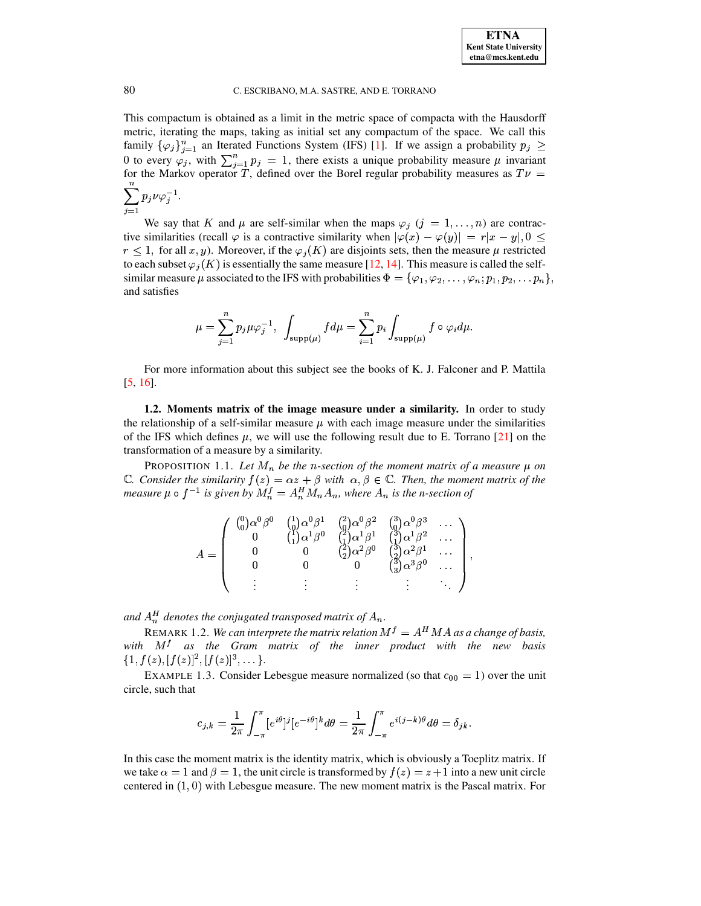This compactum is obtained as a limit in the metric space of compacta with the Hausdorff metric, iterating the maps, taking as initial set any compactum of the space. We call this family  $\{\varphi_j\}_{j=1}^n$  an Iterated Functions System (IFS) [\[1\]](#page-7-2). If we assign a probability  $p_j \geq$ 0 to every  $\varphi_i$ , with  $\sum_{i=1}^n p_i = 1$ , there exists a unique probability measure  $\mu$  invariant for the Markov operator T, defined over the Borel regular probability measures as  $T\nu =$ because the contract of the contract of the contract of the contract of the contract of the contract of the contract of the contract of the contract of the contract of the contract of the contract of the contract of the co  $p_i \nu \varphi^{-1}$ .

$$
\sum_{j=1} p_j\nu\varphi_j^{-1}.
$$

We say that K and  $\mu$  are self-similar when the maps  $\varphi_j$   $(j = 1, \ldots, n)$  are contractive similarities (recall  $\varphi$  is a contractive similarity when  $|\varphi(x) - \varphi(y)| = r|x - y|, 0 \le$  $r \leq 1$ , for all x, y). Moreover, if the  $\varphi_i(K)$  are disjoints sets, then the measure  $\mu$  restricted to each subset  $\varphi_i(K)$  is essentially the same measure [\[12,](#page-7-3) [14\]](#page-8-2). This measure is called the selfsimilar measure  $\mu$  associated to the IFS with probabilities  $\Phi = {\varphi_1, \varphi_2, \dots, \varphi_n; p_1, p_2, \dots p_n},$ and satisfies

$$
\mu=\sum_{j=1}^n p_j\mu\varphi_j^{-1},\ \ \int_{\text{supp}(\mu)}fd\mu=\sum_{i=1}^n p_i\int_{\text{supp}(\mu)}f\circ\varphi_id\mu.
$$

For more information about this subject see the books of K. J. Falconer and P. Mattila [\[5,](#page-7-4) [16\]](#page-8-3).

**1.2. Moments matrix of the image measure under a similarity.** In order to study the relationship of a self-similar measure  $\mu$  with each image measure under the similarities of the IFS which defines  $\mu$ , we will use the following result due to E. Torrano [\[21\]](#page-8-4) on the transformation of a measure by a similarity.

PROPOSITION 1.1. Let  $M_n$  be the n-section of the moment matrix of a measure  $\mu$  on  $\mathbb{C}$ *. Consider the similarity*  $f(z) = \alpha z + \beta$  with  $\alpha, \beta \in \mathbb{C}$ *. Then, the moment matrix of the measure*  $\mu \circ f^{-1}$  is given by  $M_n^f = A_n^H M_n A_n$ , where  $A_n$  is the n-section of

| $\binom{0}{0} \alpha^0 \beta^0$ | $\begin{pmatrix} 1 \\ 0 \\ 1 \end{pmatrix} \begin{matrix} \alpha^0 \beta^1 & \binom{2}{0} \alpha^0 \beta^2 & \binom{3}{0} \alpha^0 \beta^3 \\ \binom{1}{1} \alpha^1 \beta^0 & \binom{2}{1} \alpha^1 \beta^1 & \binom{3}{1} \alpha^1 \beta^2 \\ 0 & \binom{2}{1} \alpha^2 \beta^0 & \binom{3}{1} \alpha^2 \beta^1 \end{matrix}$<br>$\binom{2}{2} \alpha^2 \beta^0$ | $\left(\frac{3}{2}\right)\alpha^3\beta^0$ |  |
|---------------------------------|-------------------------------------------------------------------------------------------------------------------------------------------------------------------------------------------------------------------------------------------------------------------------------------------------------------------------------------------------------------------|-------------------------------------------|--|
|                                 |                                                                                                                                                                                                                                                                                                                                                                   |                                           |  |

and  $A_n^H$  denotes the conjugated transposed matrix of  $A_n$ .

REMARK 1.2. *We can interprete the matrix relation*  $M^f = A^H M A$  *as a change of basis, with* B *as the Gram matrix of the inner product with the new basis*  $\{1, f(z), [f(z)]^2, [f(z)]^3, \dots\}.$ 

EXAMPLE 1.3. Consider Lebesgue measure normalized (so that  $c_{00} = 1$ ) over the unit circle, such that

$$
c_{j,k} = \frac{1}{2\pi} \int_{-\pi}^{\pi} [e^{i\theta}]^j [e^{-i\theta}]^k d\theta = \frac{1}{2\pi} \int_{-\pi}^{\pi} e^{i(j-k)\theta} d\theta = \delta_{jk}.
$$

In this case the moment matrix is the identity matrix, which is obviously a Toeplitz matrix. If we take  $\alpha = 1$  and  $\beta = 1$ , the unit circle is transformed by  $f(z) = z + 1$  into a new unit circle centered in  $(1,0)$  with Lebesgue measure. The new moment matrix is the Pascal matrix. For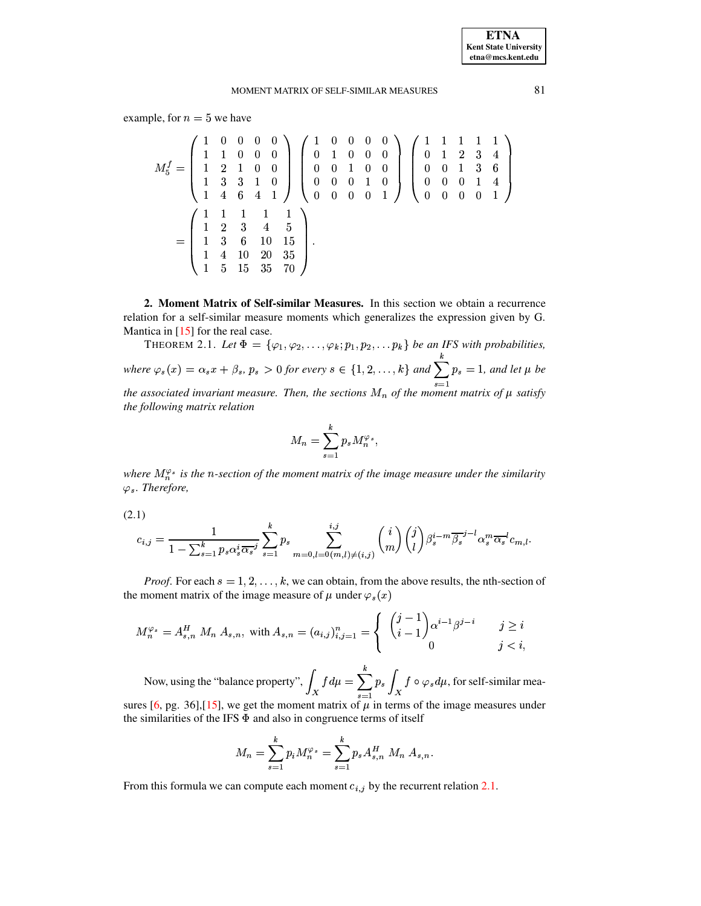example, for  $n = 5$  we have

$$
M_5^f = \begin{pmatrix} 1 & 0 & 0 & 0 & 0 \\ 1 & 1 & 0 & 0 & 0 \\ 1 & 2 & 1 & 0 & 0 \\ 1 & 3 & 3 & 1 & 0 \\ 1 & 4 & 6 & 4 & 1 \end{pmatrix} \begin{pmatrix} 1 & 0 & 0 & 0 & 0 \\ 0 & 1 & 0 & 0 & 0 \\ 0 & 0 & 1 & 0 & 0 \\ 0 & 0 & 0 & 1 & 0 \\ 0 & 0 & 0 & 1 & 0 \end{pmatrix} \begin{pmatrix} 1 & 1 & 1 & 1 & 1 \\ 0 & 1 & 2 & 3 & 4 \\ 0 & 0 & 1 & 3 & 6 \\ 0 & 0 & 0 & 1 & 4 \\ 0 & 0 & 0 & 0 & 1 \end{pmatrix}
$$

$$
= \begin{pmatrix} 1 & 1 & 1 & 1 & 1 \\ 1 & 2 & 3 & 4 & 5 \\ 1 & 3 & 6 & 10 & 15 \\ 1 & 4 & 10 & 20 & 35 \\ 1 & 5 & 15 & 35 & 70 \end{pmatrix}.
$$

**2. Moment Matrix of Self-similar Measures.** In this section we obtain a recurrence relation for a self-similar measure moments which generalizes the expression given by G. Mantica in [\[15\]](#page-8-0) for the real case.

THEOREM 2.1. Let  $\Phi = {\varphi_1, \varphi_2, \ldots, \varphi_k; p_1, p_2, \ldots p_k}$  be an IFS with probabilities, where  $\varphi_s(x) = \alpha_s x + \beta_s$ ,  $p_s > 0$  for every  $s \in \{1, 2, ..., k\}$  and  $\sum_{k=1}^{k} p_s = 1$ , and let  $\mu$  be  $\sum p_s = 1$ , and let  $\mu$  be *the* associated invariant measure. Then, the sections  $M_n$  of the moment matrix of  $\mu$  satisfy *the following matrix relation*

$$
M_n=\sum_{s=1}^k p_s M_n^{\varphi_s},
$$

<span id="page-2-0"></span>*where*  $M_n^{\varphi_s}$  *is the n-section of the moment matrix of the image measure under the similarity*  $\varphi_s$ *. Therefore,* 

(2.1)

$$
c_{i,j} = \frac{1}{1 - \sum_{s=1}^k p_s \alpha_s^i \overline{\alpha_s}^j} \sum_{s=1}^k p_s \sum_{m=0,l=0(m,l)\neq(i,j)}^{i,j} \binom{i}{m} \binom{j}{l} \beta_s^{i-m} \overline{\beta_s}^{j-l} \alpha_s^m \overline{\alpha_s}^l c_{m,l}.
$$

*Proof.* For each  $s = 1, 2, \ldots, k$ , we can obtain, from the above results, the nth-section of the moment matrix of the image measure of  $\mu$  under  $\varphi_s(x)$ 

$$
M_n^{\varphi_s} = A_{s,n}^H \ M_n \ A_{s,n}, \text{ with } A_{s,n} = (a_{i,j})_{i,j=1}^n = \begin{cases} \ \binom{j-1}{i-1} \alpha^{i-1} \beta^{j-i} & j \ge i \\ 0 & j < i, \end{cases}
$$

Now, using the "balance property",  $\int_X f d\mu = \sum_{n=1}^k p_s \int_X f \circ \varphi_s d\mu$ , for self-simi  $\sum_{i=1}^{k} p_s \int_X f \circ \varphi_s d\mu$ , for self-similar mea-sures [\[6,](#page-7-5) pg. 36],[\[15\]](#page-8-0), we get the moment matrix of  $\mu$  in terms of the image measures under

the similarities of the IFS  $\Phi$  and also in congruence terms of itself

$$
M_n = \sum_{s=1}^k p_i M_n^{\varphi_s} = \sum_{s=1}^k p_s A_{s,n}^H M_n A_{s,n}.
$$

From this formula we can compute each moment  $c_{i,j}$  by the recurrent relation [2.1.](#page-2-0)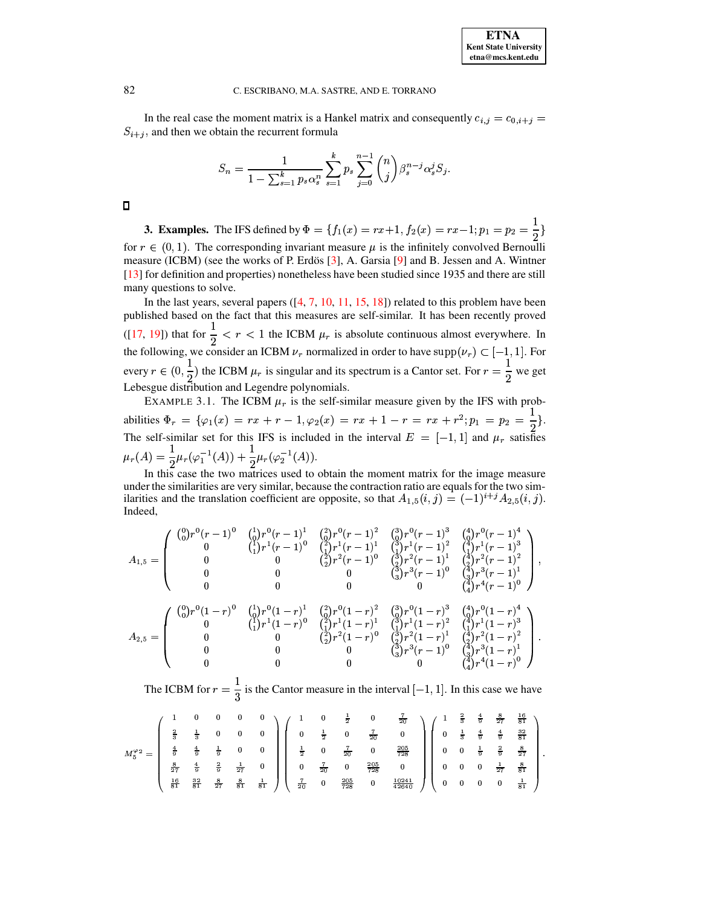In the real case the moment matrix is a Hankel matrix and consequently  $c_{i,j} = c_{0,i+j}$  $S_{i+j}$ , and then we obtain the recurrent formula

$$
S_n = \frac{1}{1 - \sum_{s=1}^k p_s \alpha_s^n} \sum_{s=1}^k p_s \sum_{j=0}^{n-1} {n \choose j} \beta_s^{n-j} \alpha_s^j S_j.
$$

 $\Box$ 

**3. Examples.** The IFS defined by  $\Phi = \{f_1(x) = rx+1, f_2(x) = rx-1; p_1 = p_2 = \frac{1}{2}\}\$ for  $r \in (0, 1)$ . The corresponding invariant measure  $\mu$  is the infinitely convolved Bernoulli measure (ICBM) (see the works of P. Erdös [3], A. Garsia [9] and B. Jessen and A. Wintner [13] for definition and properties) nonetheless have been studied since 1935 and there are still many questions to solve.

In the last years, several papers  $(14, 7, 10, 11, 15, 18)$  related to this problem have been published based on the fact that this measures are self-similar. It has been recently proved ([17, 19]) that for  $\frac{1}{2} < r < 1$  the ICBM  $\mu_r$  is absolute continuous almost everywhere. In the following, we consider an ICBM  $\nu_r$  normalized in order to have supp $(\nu_r) \subset [-1,1]$ . For every  $r \in (0, \frac{1}{2})$  the ICBM  $\mu_r$  is singular and its spectrum is a Cantor set. For  $r = \frac{1}{2}$  we get Lebesgue distribution and Legendre polynomials.

EXAMPLE 3.1. The ICBM  $\mu_r$  is the self-similar measure given by the IFS with probabilities  $\Phi_r = {\varphi_1(x) = rx + r - 1, \varphi_2(x) = rx + 1 - r = rx + r^2; p_1 = p_2 = \frac{1}{2}}.$ The self-similar set for this IFS is included in the interval  $E = [-1, 1]$  and  $\mu_r$  satisfies  $\mu_r(A) = \frac{1}{2}\mu_r(\varphi_1^{-1}(A)) + \frac{1}{2}\mu_r(\varphi_2^{-1}(A)).$ 

In this case the two matrices used to obtain the moment matrix for the image measure under the similarities are very similar, because the contraction ratio are equals for the two similarities and the translation coefficient are opposite, so that  $A_{1,5}(i,j) = (-1)^{i+j} A_{2,5}(i,j)$ . Indeed,

$$
A_{1,5} = \left(\begin{array}{cccc} \binom{0}{0}r^{0}(r-1)^{0} & \binom{1}{0}r^{0}(r-1)^{1} & \binom{2}{0}r^{0}(r-1)^{2} & \binom{3}{0}r^{0}(r-1)^{3} & \binom{4}{0}r^{0}(r-1)^{4} \\ 0 & \binom{1}{1}r^{1}(r-1)^{0} & \binom{2}{2}r^{1}(r-1)^{1} & \binom{3}{1}r^{1}(r-1)^{2} & \binom{4}{1}r^{1}(r-1)^{3} \\ 0 & 0 & \binom{2}{2}r^{2}(r-1)^{0} & \binom{3}{2}r^{2}(r-1)^{1} & \binom{4}{2}r^{2}(r-1)^{2} \\ 0 & 0 & 0 & \binom{3}{3}r^{3}(r-1)^{0} & \binom{4}{3}r^{3}(r-1)^{1} \\ 0 & 0 & 0 & 0 & \binom{4}{3}r^{3}(r-1)^{0} & \binom{4}{3}r^{3}(r-1)^{1} \\ \end{array}\right)
$$

$$
A_{2,5} = \left(\begin{array}{cccc} \binom{0}{0}r^{0}(1-r)^{0} & \binom{1}{0}r^{0}(1-r)^{1} & \binom{2}{0}r^{0}(1-r)^{2} & \binom{3}{0}r^{0}(1-r)^{3} & \binom{4}{0}r^{0}(1-r)^{4} \\ 0 & \binom{1}{1}r^{1}(1-r)^{0} & \binom{2}{1}r^{1}(1-r)^{1} & \binom{3}{1}r^{1}(1-r)^{2} & \binom{4}{1}r^{1}(1-r)^{3} \\ 0 & 0 & \binom{2}{2}r^{2}(1-r)^{0} & \binom{3}{2}r^{2}(1-r)^{1} & \binom{4}{2}r^{2}(1-r)^{2} \\ 0 & 0 & 0 & \binom{3}{3}r^{3}(r-1)^{0} & \binom{3}{3}r^{3}(1-r)^{1} \\ 0 & 0 & 0 & \binom{4}{3}r^{4}(1-r)^{0} \end{array}\right)
$$

The ICBM for  $r = \frac{1}{3}$  is the Cantor measure in the interval  $[-1, 1]$ . In this case we have

$$
M_5^{\varphi_2}=\left(\begin{array}{cccccccc} 1 & 0 & 0 & 0 & 0 & 0 \\ \frac{2}{3} & \frac{1}{3} & 0 & 0 & 0 & 0 \\ \frac{4}{9} & \frac{4}{9} & \frac{1}{9} & 0 & 0 & 0 \\ \frac{8}{27} & \frac{4}{9} & \frac{2}{9} & \frac{1}{27} & 0 & 0 \\ \frac{8}{10} & \frac{2}{81} & \frac{8}{27} & \frac{8}{81} & \frac{1}{81} \end{array}\right)\left(\begin{array}{cccccc} 1 & 0 & \frac{1}{2} & 0 & \frac{7}{20} & 0 \\ 0 & \frac{1}{2} & 0 & \frac{7}{20} & 0 & \frac{205}{728} \\ \frac{1}{20} & 0 & \frac{7}{20} & 0 & \frac{205}{728} & 0 \\ 0 & \frac{7}{20} & 0 & \frac{205}{728} & 0 \\ \frac{7}{20} & 0 & \frac{205}{728} & 0 & \frac{10241}{42640} \end{array}\right)\left(\begin{array}{cccccc} 1 & \frac{2}{3} & \frac{4}{3} & \frac{4}{27} & \frac{5}{81} \\ 0 & \frac{1}{3} & \frac{4}{9} & \frac{4}{9} & \frac{8}{81} \\ 0 & 0 & \frac{1}{9} & \frac{8}{9} & \frac{8}{27} \\ 0 & 0 & 0 & \frac{1}{27} & \frac{81}{81} \\ 0 & 0 & 0 & 0 & \frac{1}{81} \end{array}\right)
$$

82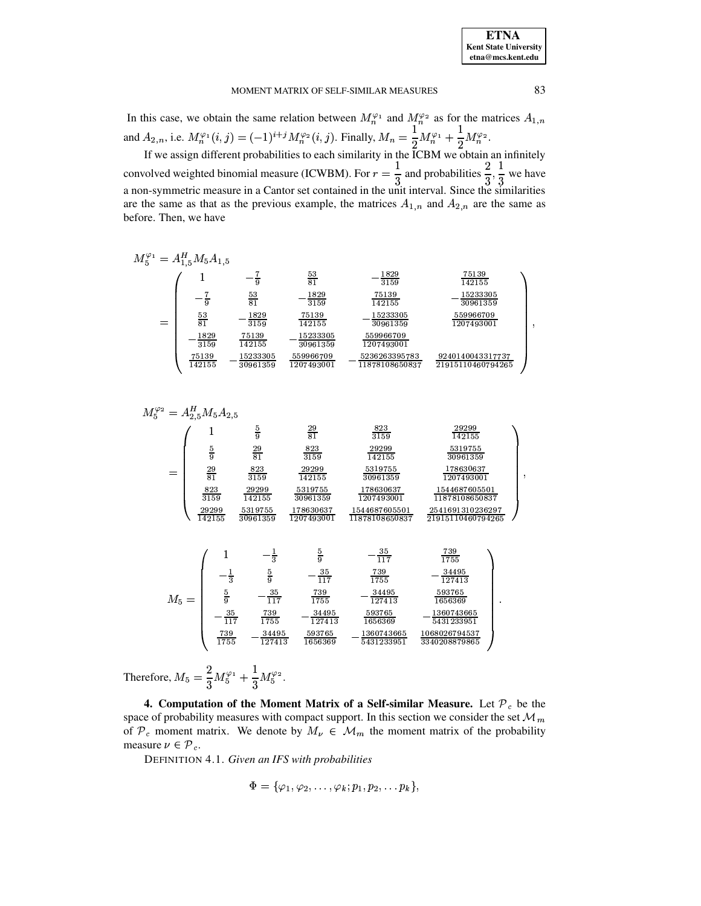In this case, we obtain the same relation between  $M_n^{\varphi_1}$  and  $M_n^{\varphi_2}$  as for the matrices  $A_{1,n}$ and  $A_{2,n}$ , i.e.  $M_n^{\varphi_1}(i,j) = (-1)^{i+j} M_n^{\varphi_2}(i,j)$ . Finally,  $M_n = \frac{1}{2} M_n^{\varphi_1} + \frac{1}{2} M_n^{\varphi_2}$ .

If we assign different probabilities to each similarity in the  $ICBM$  we obtain an infinitely convolved weighted binomial measure (ICWBM). For  $r = \frac{1}{3}$  and probabilities  $\frac{2}{3}, \frac{1}{3}$  we have<br>a non-symmetric measure in a Cantor set contained in the unit interval. Since the similarities are the same as that as the previous example, the matrices  $A_{1,n}$  and  $A_{2,n}$  are the same as before. Then, we have

$$
\begin{array}{lcl}\nM_5^{\varphi_1} &=& A_{1,5}^H M_5 A_{1,5} \\
& -\frac{7}{9} & \frac{53}{81} & -\frac{1829}{3159} & \frac{75139}{142155} \\
& -\frac{7}{9} & \frac{53}{81} & -\frac{1829}{3159} & \frac{75139}{142155} & -\frac{15233305}{30961359} \\
& \frac{53}{81} & -\frac{1829}{3159} & \frac{75139}{142155} & -\frac{15233305}{30961359} & \frac{559966709}{1207493001} \\
& -\frac{1829}{3159} & \frac{75139}{142155} & -\frac{15233305}{30961359} & \frac{559966709}{1207493001} \\
& \frac{75139}{142155} & -\frac{15233305}{30961359} & \frac{559966709}{1207493001} & -\frac{5236263395783}{11878108650837} & \frac{9240140043317737}{21915110460794265}\n\end{array}
$$

$$
M_5^{\varphi_2} = A_{2,5}^H M_5 A_{2,5}
$$
\n
$$
= \begin{pmatrix}\n1 & \frac{5}{9} & \frac{29}{81} & \frac{823}{3159} & \frac{29299}{142155} \\
\frac{5}{9} & \frac{29}{81} & \frac{823}{3159} & \frac{29299}{142155} & \frac{5319755}{30961359} \\
\frac{29}{81} & \frac{823}{3159} & \frac{29299}{142155} & \frac{5319755}{30961359} & \frac{178630637}{1207493001} \\
\frac{823}{3159} & \frac{29299}{142155} & \frac{5319755}{30961359} & \frac{178630637}{1207493001} & \frac{1544687605501}{11878108650837} \\
\frac{29299}{142155} & \frac{5319755}{30961359} & \frac{178630637}{1207493001} & \frac{1544687605501}{11878108650837} & \frac{2541691310236297}{21915110460794265}\n\end{pmatrix}
$$
\n
$$
M_5 = \begin{pmatrix}\n1 & -\frac{1}{3} & \frac{5}{9} & -\frac{35}{117} & \frac{739}{1755} \\
-\frac{1}{3} & \frac{5}{9} & -\frac{35}{117} & \frac{739}{1755} & -\frac{34495}{127413} & \frac{593765}{1656369} \\
-\frac{35}{117} & \frac{739}{1755} & -\frac{34495}{127413} & \frac{593765}{1656369} & -\frac{1360743665}{5431233951} \\
\frac{739}{1755} & -\frac{34495}{127413
$$

Therefore,  $M_5 = \frac{2}{3}M_5^{\varphi_1} + \frac{1}{3}M_5^{\varphi_2}$ .

4. Computation of the Moment Matrix of a Self-similar Measure. Let  $\mathcal{P}_c$  be the space of probability measures with compact support. In this section we consider the set  $\mathcal{M}_m$ of  $\mathcal{P}_c$  moment matrix. We denote by  $M_{\nu} \in \mathcal{M}_m$  the moment matrix of the probability measure  $\nu \in \mathcal{P}_c$ .

DEFINITION 4.1. Given an IFS with probabilities

$$
\Phi=\{\varphi_1,\varphi_2,\ldots,\varphi_k;p_1,p_2,\ldots p_k\},
$$

83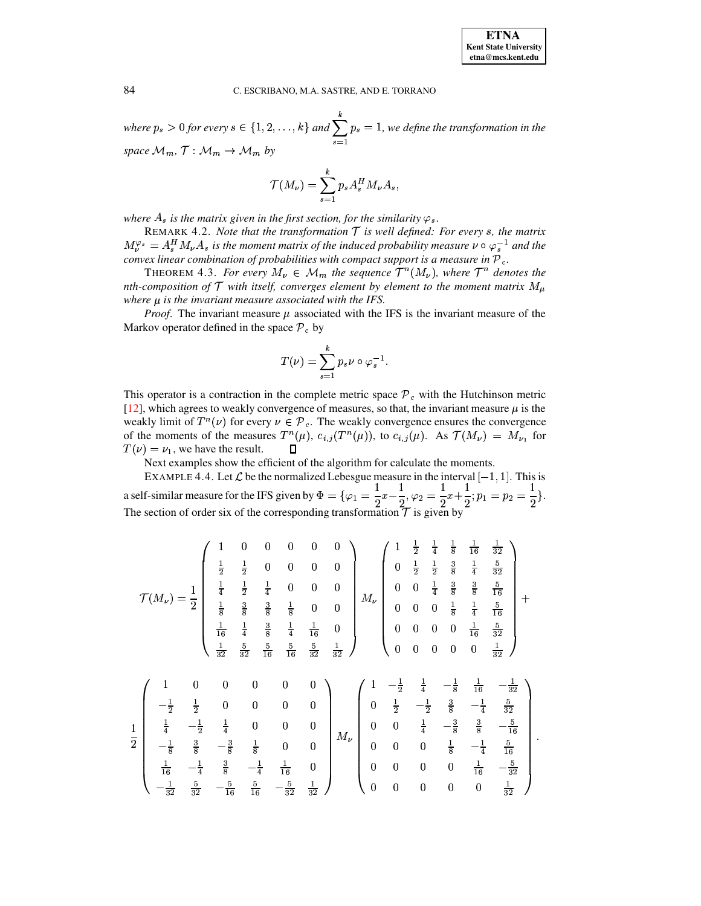where  $p_s > 0$  for every  $s \in \{1, 2, \ldots, k\}$  and  $\sum_{s=1}^{k} p_s = 1$ , we define the transfor  $\sum p_s = 1$ , we define the transformation in the *space*  $M_m$ ,  $\mathcal{T}: M_m \to \mathcal{M}_m$  *by* 

$$
\mathcal{T}(M_{\nu})=\sum_{s=1}^k p_s A_s^H M_{\nu} A_s,
$$

where  $A_s$  is the matrix given in the first section, for the similarity  $\varphi_s$ .

REMARK 4.2. *Note that the transformation*  $\mathcal{T}$  *is well defined: For every s, the matrix*  $M_\nu^{\varphi_s} = A_s^H M_\nu A_s$  is the moment matrix of the induced probability measure  $\nu \circ \varphi_s^{-1}$  and the *convex linear combination of probabilities with compact support is a measure in .* 

THEOREM 4.3. *For every*  $M_{\nu} \in M_m$  the sequence  $T^n(M_{\nu})$ , where  $T^n$  denotes the *nth-composition* of  $\mathcal T$  *with itself, converges element by element to the moment matrix*  $M_\mu$ *where is the invariant measure associated with the IFS.*

*Proof.* The invariant measure  $\mu$  associated with the IFS is the invariant measure of the Markov operator defined in the space  $P_c$  by

$$
T(\nu)=\sum_{s=1}^k p_s\nu\circ\varphi_s^{-1}.
$$

This operator is a contraction in the complete metric space  $P_c$  with the Hutchinson metric [\[12\]](#page-7-3), which agrees to weakly convergence of measures, so that, the invariant measure  $\mu$  is the weakly limit of  $T^n(\nu)$  for every  $\nu \in \mathcal{P}_c$ . The weakly convergence ensures the convergence of the moments of the measures  $T^n(\mu)$ ,  $c_{i,j}(T^n(\mu))$ , to  $c_{i,j}(\mu)$ . As  $\mathcal{T}(M_{\nu}) = M_{\nu_1}$  for  $T(\nu) = \nu_1$ , we have the result. П

Next examples show the efficient of the algorithm for calculate the moments.

EXAMPLE 4.4. Let  $\mathcal L$  be the normalized Lebesgue measure in the interval  $[-1,1]$ . This is a self-similar measure for the IFS given by  $\Phi = {\varphi_1 = \frac{1}{2}x - \frac{1}{2}, \varphi_2 = \frac{1}{2}x + \frac{1}{2}}$  $\frac{1}{2}, \varphi_2 = \frac{1}{2}x + \frac{1}{2}; p_1 = p_2 = \frac{1}{2}.$  $\frac{1}{2}$ . The section of order six of the corresponding transformation  $\mathcal T$  is given by

$$
\mathcal{T}(M_{\nu}) = \frac{1}{2} \begin{pmatrix}\n1 & 0 & 0 & 0 & 0 & 0 \\
\frac{1}{2} & \frac{1}{2} & 0 & 0 & 0 & 0 \\
\frac{1}{4} & \frac{1}{2} & \frac{1}{4} & 0 & 0 & 0 \\
\frac{1}{8} & \frac{3}{8} & \frac{3}{8} & \frac{1}{8} & 0 & 0 \\
\frac{1}{16} & \frac{1}{4} & \frac{3}{8} & \frac{1}{4} & \frac{1}{16} & 0 \\
\frac{1}{32} & \frac{5}{32} & \frac{5}{16} & \frac{5}{16} & \frac{5}{32} & \frac{1}{32}\n\end{pmatrix}\n\begin{pmatrix}\n1 & \frac{1}{2} & \frac{1}{2} & \frac{1}{8} & \frac{1}{8} & \frac{1}{16} & \frac{1}{32} \\
0 & 0 & \frac{1}{4} & \frac{3}{8} & \frac{3}{8} & \frac{5}{16} \\
0 & 0 & 0 & \frac{1}{8} & \frac{1}{4} & \frac{5}{16} \\
0 & 0 & 0 & 0 & \frac{1}{16} & \frac{5}{32} \\
0 & 0 & 0 & 0 & \frac{1}{32}\n\end{pmatrix} + \frac{1}{16} \begin{pmatrix}\n1 & -\frac{1}{2} & \frac{1}{4} & -\frac{1}{8} & \frac{1}{16} & -\frac{1}{32} \\
0 & 0 & 0 & 0 & \frac{1}{16} & \frac{5}{32} \\
0 & 0 & 0 & 0 & \frac{1}{32}\n\end{pmatrix}
$$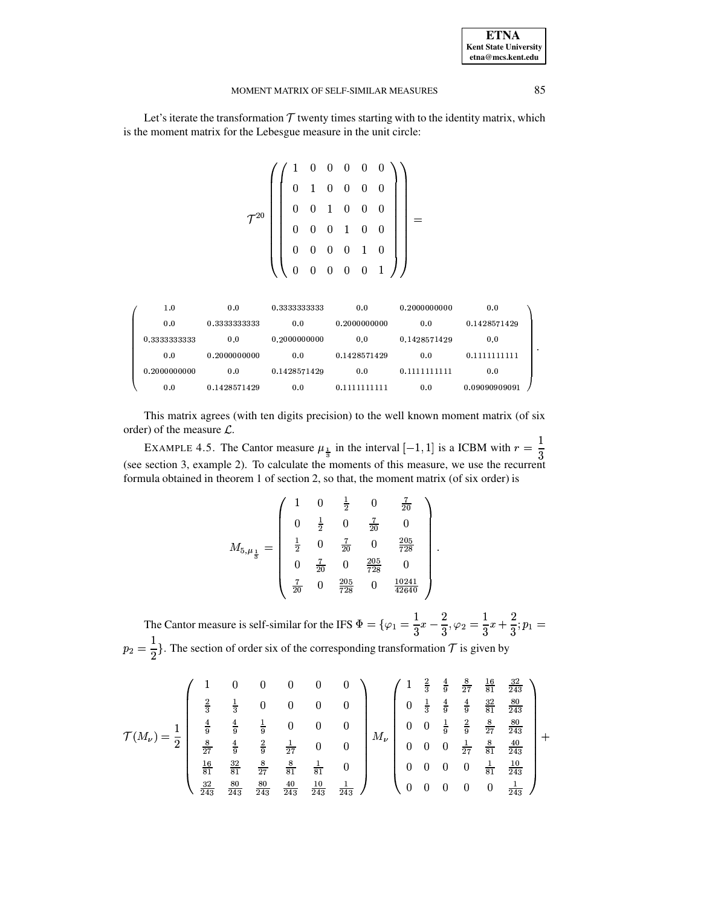Let's iterate the transformation  $T$  twenty times starting with to the identity matrix, which is the moment matrix for the Lebesgue measure in the unit circle:

$$
\mathcal{T}^{20}\left(\left(\begin{array}{cccccc}1 & 0 & 0 & 0 & 0 & 0 \\ 0 & 1 & 0 & 0 & 0 & 0 \\ 0 & 0 & 1 & 0 & 0 & 0 \\ 0 & 0 & 0 & 1 & 0 & 0 \\ 0 & 0 & 0 & 0 & 1 & 0 \\ 0 & 0 & 0 & 0 & 0 & 1\end{array}\right)\right)=
$$

| 1.0          | 0.0          | 0.3333333333 | 0.0          | 0.2000000000 | 0.0           |
|--------------|--------------|--------------|--------------|--------------|---------------|
| 0.0          | 0.3333333333 | 0.0          | 0.2000000000 | 0.0          | 0.1428571429  |
| 0.3333333333 | 0.0          | 0.2000000000 | 0.0          | 0.1428571429 | 0.0           |
| 0.0          | 0.2000000000 | 0.0          | 0.1428571429 | 0.0          | 0.1111111111  |
| 0.2000000000 | 0.0          | 0.1428571429 | 0.0          | 0.1111111111 | 0.0           |
| 0.0          | 0.1428571429 | 0.0          | 0.1111111111 | 0.0          | 0.09090909091 |

This matrix agrees (with ten digits precision) to the well known moment matrix (of six order) of the measure  $\mathcal{L}$ .

EXAMPLE 4.5. The Cantor measure  $\mu_{\frac{1}{3}}$  in the interval  $[-1, 1]$  is a ICBM with  $r = \frac{1}{3}$ (see section 3, example 2). To calculate the moments of this measure, we use the recurrent formula obtained in theorem 1 of section 2, so that, the moment matrix (of six order) is

$$
M_{5,\mu_{\frac{1}{3}}} = \begin{pmatrix} 1 & 0 & \frac{1}{2} & 0 & \frac{7}{20} \\ 0 & \frac{1}{2} & 0 & \frac{7}{20} & 0 \\ \frac{1}{2} & 0 & \frac{7}{20} & 0 & \frac{205}{728} \\ 0 & \frac{7}{20} & 0 & \frac{205}{728} & 0 \\ \frac{7}{20} & 0 & \frac{205}{728} & 0 & \frac{10241}{42640} \end{pmatrix}
$$

The Cantor measure is self-similar for the IFS  $\Phi = {\varphi_1 = \frac{1}{3}x - \frac{2}{3}, \varphi_2 = \frac{1}{3}x + \frac{2}{3}}; p_1 =$  $p_2 = \frac{1}{2}$ . The section of order six of the corresponding transformation  $\mathcal T$  is given by

$$
\mathcal{T}(M_{\nu}) = \frac{1}{2} \begin{pmatrix} 1 & 0 & 0 & 0 & 0 & 0 \\ \frac{2}{3} & \frac{1}{3} & 0 & 0 & 0 & 0 \\ \frac{4}{9} & \frac{4}{9} & \frac{4}{9} & \frac{1}{9} & 0 & 0 & 0 \\ \frac{8}{27} & \frac{4}{9} & \frac{2}{9} & \frac{1}{27} & 0 & 0 \\ \frac{16}{243} & \frac{32}{81} & \frac{8}{27} & \frac{8}{81} & \frac{1}{81} & 0 \\ \frac{32}{243} & \frac{8}{243} & \frac{8}{243} & \frac{40}{243} & \frac{10}{243} & \frac{1}{243} \end{pmatrix} M_{\nu} \begin{pmatrix} 1 & \frac{2}{3} & \frac{4}{9} & \frac{8}{27} & \frac{16}{81} & \frac{32}{243} \\ 0 & \frac{1}{3} & \frac{4}{9} & \frac{4}{9} & \frac{32}{81} & \frac{80}{243} \\ 0 & 0 & \frac{1}{27} & \frac{8}{81} & \frac{40}{243} \\ 0 & 0 & 0 & \frac{1}{81} & \frac{10}{243} \\ 0 & 0 & 0 & 0 & \frac{1}{81} \end{pmatrix} + \begin{pmatrix} 1 & \frac{2}{3} & \frac{4}{3} & \frac{8}{37} & \frac{16}{37} & \frac{32}{37} \\ 0 & 0 & \frac{1}{3} & \frac{2}{3} & \frac{80}{37} & \frac{80}{243} \\ 0 & 0 & 0 & \frac{1}{3} & \frac{10}{243} \\ 0 & 0 & 0 & 0 & \frac{1}{243} \end{pmatrix}
$$

85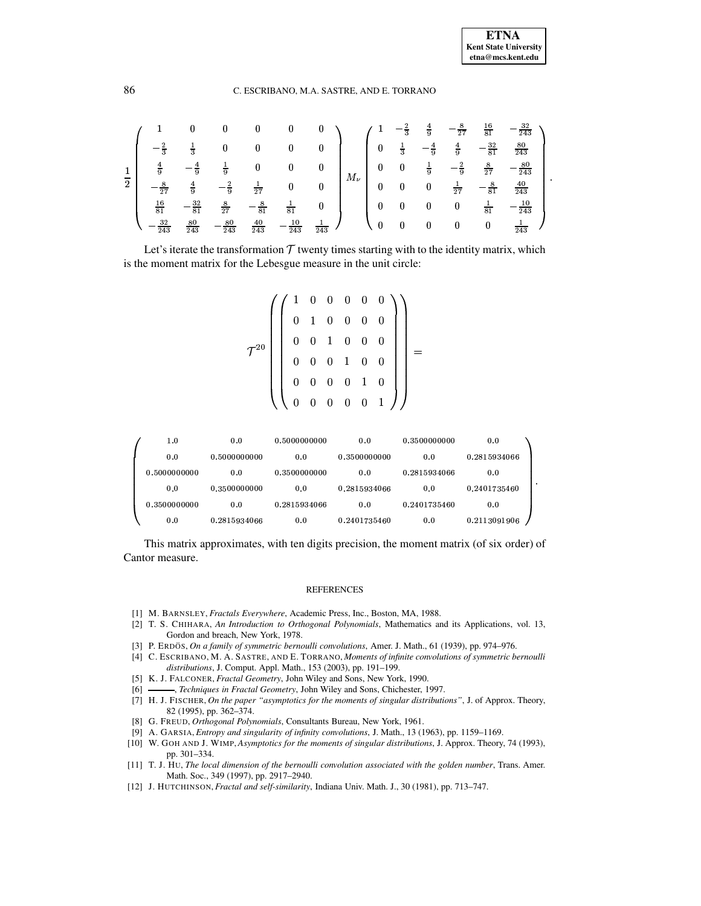|                |                      |                  |                                   |                  |          |                  |           |                  |                  | $\overline{9}$   | $\overline{27}$ | $\frac{16}{81}$  | 243              |
|----------------|----------------------|------------------|-----------------------------------|------------------|----------|------------------|-----------|------------------|------------------|------------------|-----------------|------------------|------------------|
|                | $\overline{2}$       | $\frac{1}{3}$    | 0                                 |                  |          |                  |           | $\bf{0}$         | $\frac{1}{3}$    | $-\frac{4}{9}$   | $\frac{4}{9}$   | $-\frac{32}{81}$ | $\frac{80}{243}$ |
| Ŧ              | $\frac{4}{9}$        | $-\frac{4}{9}$   | $\frac{1}{9}$                     | 0                |          | $\boldsymbol{0}$ | $M_{\nu}$ | $\boldsymbol{0}$ | $\mathbf{0}$     |                  | $-\frac{2}{9}$  | $\frac{8}{27}$   | 80<br>243        |
| $\overline{2}$ | 8<br>$\overline{27}$ | $\frac{4}{9}$    | $\overline{\phantom{a}}^2$<br>— 5 | $\frac{1}{27}$   | $\bf{0}$ | $\bf{0}$         |           | $\boldsymbol{0}$ | $\boldsymbol{0}$ | $\boldsymbol{0}$ | $\overline{27}$ | $-\frac{8}{81}$  | $\frac{40}{243}$ |
|                | $\frac{16}{81}$      | $-\frac{32}{81}$ | $\boldsymbol{8}$<br>27            | $\frac{8}{81}$   | 81       | 0                |           | 0                | U                |                  |                 | $\overline{81}$  | 10<br>243        |
|                | 32<br>243            | $\frac{80}{243}$ | 80<br>243                         | $\frac{40}{243}$ | 243      | 243              |           |                  |                  |                  |                 | 0                | 243              |

Let's iterate the transformation  $T$  twenty times starting with to the identity matrix, which is the moment matrix for the Lebesgue measure in the unit circle:

$$
\mathcal{T}^{20}\left(\left(\begin{array}{cccccc}1 & 0 & 0 & 0 & 0 & 0 \\ 0 & 1 & 0 & 0 & 0 & 0 \\ 0 & 0 & 1 & 0 & 0 & 0 \\ 0 & 0 & 0 & 1 & 0 & 0 \\ 0 & 0 & 0 & 0 & 1 & 0 \\ 0 & 0 & 0 & 0 & 0 & 1\end{array}\right)\right)=
$$

| 1.0          | 0.0          | 0.5000000000 | 0.0          | 0.3500000000 | 0.0          |
|--------------|--------------|--------------|--------------|--------------|--------------|
| 0.0          | 0.5000000000 | 0.0          | 0.3500000000 | 0.0          | 0.2815934066 |
| 0.5000000000 | 0.0          | 0.3500000000 | 0.0          | 0.2815934066 | 0.0          |
| 0.0          | 0.3500000000 | 0.0          | 0.2815934066 | 0.0          | 0.2401735460 |
| 0.3500000000 | 0.0          | 0.2815934066 | 0.0          | 0.2401735460 | 0.0          |
| 0.0          | 0.2815934066 | 0.0          | 0.2401735460 | 0.0          | 0.2113091906 |

This matrix approximates, with ten digits precision, the moment matrix (of six order) of Cantor measure.

### **REFERENCES**

- <span id="page-7-2"></span><span id="page-7-0"></span>[1] M. BARNSLEY, *Fractals Everywhere*, Academic Press, Inc., Boston, MA, 1988.
- [2] T. S. CHIHARA, *An Introduction to Orthogonal Polynomials*, Mathematics and its Applications, vol. 13, Gordon and breach, New York, 1978.
- <span id="page-7-8"></span><span id="page-7-6"></span>[3] P. ERDO¨ S, *On a family of symmetric bernoulli convolutions*, Amer. J. Math., 61 (1939), pp. 974–976.
- [4] C. ESCRIBANO, M. A. SASTRE, AND E. TORRANO, *Moments of infinite convolutions of symmetric bernoulli distributions*, J. Comput. Appl. Math., 153 (2003), pp. 191–199.
- <span id="page-7-4"></span>[5] K. J. FALCONER, *Fractal Geometry*, John Wiley and Sons, New York, 1990.
- <span id="page-7-9"></span><span id="page-7-5"></span>[6] , *Techniques in Fractal Geometry*, John Wiley and Sons, Chichester, 1997.
- [7] H. J. FISCHER, *On the paper "asymptotics for the moments of singular distributions"*, J. of Approx. Theory, 82 (1995), pp. 362–374.
- <span id="page-7-1"></span>[8] G. FREUD, *Orthogonal Polynomials*, Consultants Bureau, New York, 1961.
- [9] A. GARSIA, *Entropy and singularity of infinity convolutions*, J. Math., 13 (1963), pp. 1159–1169.
- <span id="page-7-10"></span><span id="page-7-7"></span>[10] W. GOH AND J. WIMP, *Asymptotics for the moments of singular distributions*, J. Approx. Theory, 74 (1993), pp. 301–334.
- <span id="page-7-11"></span>[11] T. J. HU, *The local dimension of the bernoulli convolution associated with the golden number*, Trans. Amer. Math. Soc., 349 (1997), pp. 2917–2940.
- <span id="page-7-3"></span>[12] J. HUTCHINSON,*Fractal and self-similarity*, Indiana Univ. Math. J., 30 (1981), pp. 713–747.